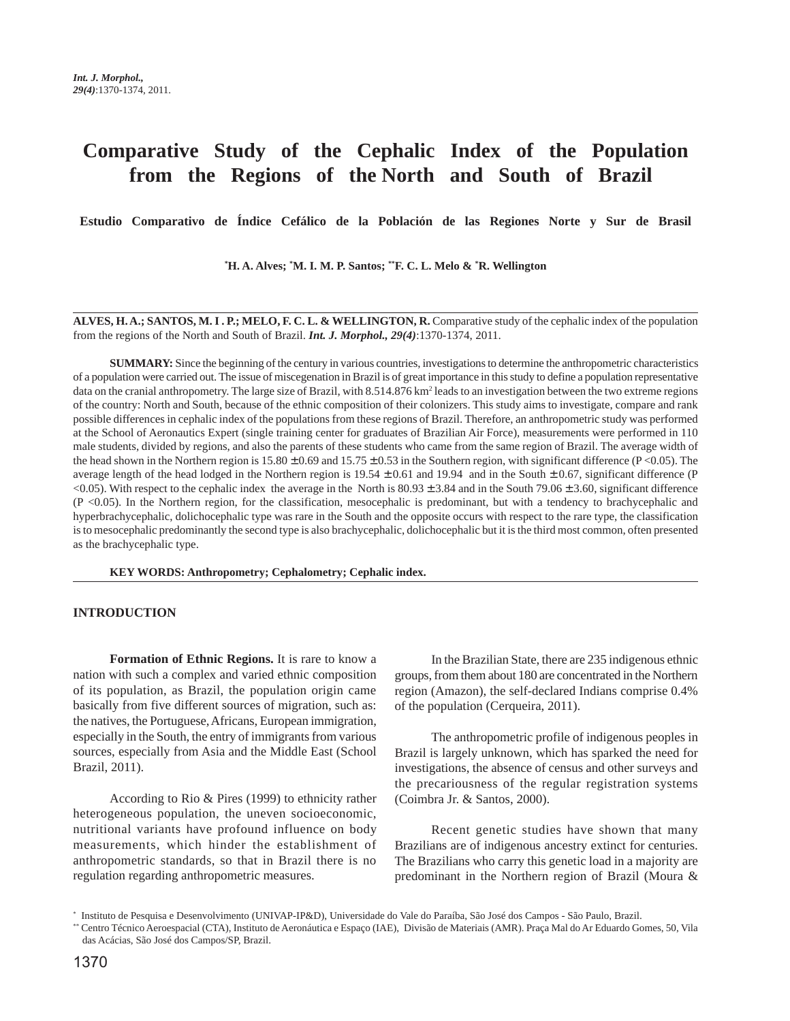# **Comparative Study of the Cephalic Index of the Population from the Regions of the North and South of Brazil**

**Estudio Comparativo de Índice Cefálico de la Población de las Regiones Norte y Sur de Brasil**

**\* H. A. Alves; \* M. I. M. P. Santos; \*\*F. C. L. Melo & \* R. Wellington**

**ALVES, H. A.; SANTOS, M. I . P.; MELO, F. C. L. & WELLINGTON, R.** Comparative study of the cephalic index of the population from the regions of the North and South of Brazil. *Int. J. Morphol., 29(4)*:1370-1374, 2011.

**SUMMARY:** Since the beginning of the century in various countries, investigations to determine the anthropometric characteristics of a population were carried out. The issue of miscegenation in Brazil is of great importance in this study to define a population representative data on the cranial anthropometry. The large size of Brazil, with 8.514.876 km<sup>2</sup> leads to an investigation between the two extreme regions of the country: North and South, because of the ethnic composition of their colonizers. This study aims to investigate, compare and rank possible differences in cephalic index of the populations from these regions of Brazil. Therefore, an anthropometric study was performed at the School of Aeronautics Expert (single training center for graduates of Brazilian Air Force), measurements were performed in 110 male students, divided by regions, and also the parents of these students who came from the same region of Brazil. The average width of the head shown in the Northern region is  $15.80 \pm 0.69$  and  $15.75 \pm 0.53$  in the Southern region, with significant difference (P <0.05). The average length of the head lodged in the Northern region is  $19.54 \pm 0.61$  and  $19.94$  and in the South  $\pm 0.67$ , significant difference (P)  $\langle 0.05 \rangle$ . With respect to the cephalic index the average in the North is 80.93  $\pm$  3.84 and in the South 79.06  $\pm$  3.60, significant difference (P <0.05). In the Northern region, for the classification, mesocephalic is predominant, but with a tendency to brachycephalic and hyperbrachycephalic, dolichocephalic type was rare in the South and the opposite occurs with respect to the rare type, the classification is to mesocephalic predominantly the second type is also brachycephalic, dolichocephalic but it is the third most common, often presented as the brachycephalic type.

**KEY WORDS: Anthropometry; Cephalometry; Cephalic index.**

### **INTRODUCTION**

**Formation of Ethnic Regions.** It is rare to know a nation with such a complex and varied ethnic composition of its population, as Brazil, the population origin came basically from five different sources of migration, such as: the natives, the Portuguese, Africans, European immigration, especially in the South, the entry of immigrants from various sources, especially from Asia and the Middle East (School Brazil, 2011).

According to Rio & Pires (1999) to ethnicity rather heterogeneous population, the uneven socioeconomic, nutritional variants have profound influence on body measurements, which hinder the establishment of anthropometric standards, so that in Brazil there is no regulation regarding anthropometric measures.

In the Brazilian State, there are 235 indigenous ethnic groups, from them about 180 are concentrated in the Northern region (Amazon), the self-declared Indians comprise 0.4% of the population (Cerqueira, 2011).

The anthropometric profile of indigenous peoples in Brazil is largely unknown, which has sparked the need for investigations, the absence of census and other surveys and the precariousness of the regular registration systems (Coimbra Jr. & Santos, 2000).

Recent genetic studies have shown that many Brazilians are of indigenous ancestry extinct for centuries. The Brazilians who carry this genetic load in a majority are predominant in the Northern region of Brazil (Moura &

<sup>\*</sup> Instituto de Pesquisa e Desenvolvimento (UNIVAP-IP&D), Universidade do Vale do Paraíba, São José dos Campos - São Paulo, Brazil.

<sup>\*\*</sup> Centro Técnico Aeroespacial (CTA), Instituto de Aeronáutica e Espaço (IAE), Divisão de Materiais (AMR). Praça Mal do Ar Eduardo Gomes, 50, Vila das Acácias, São José dos Campos/SP, Brazil.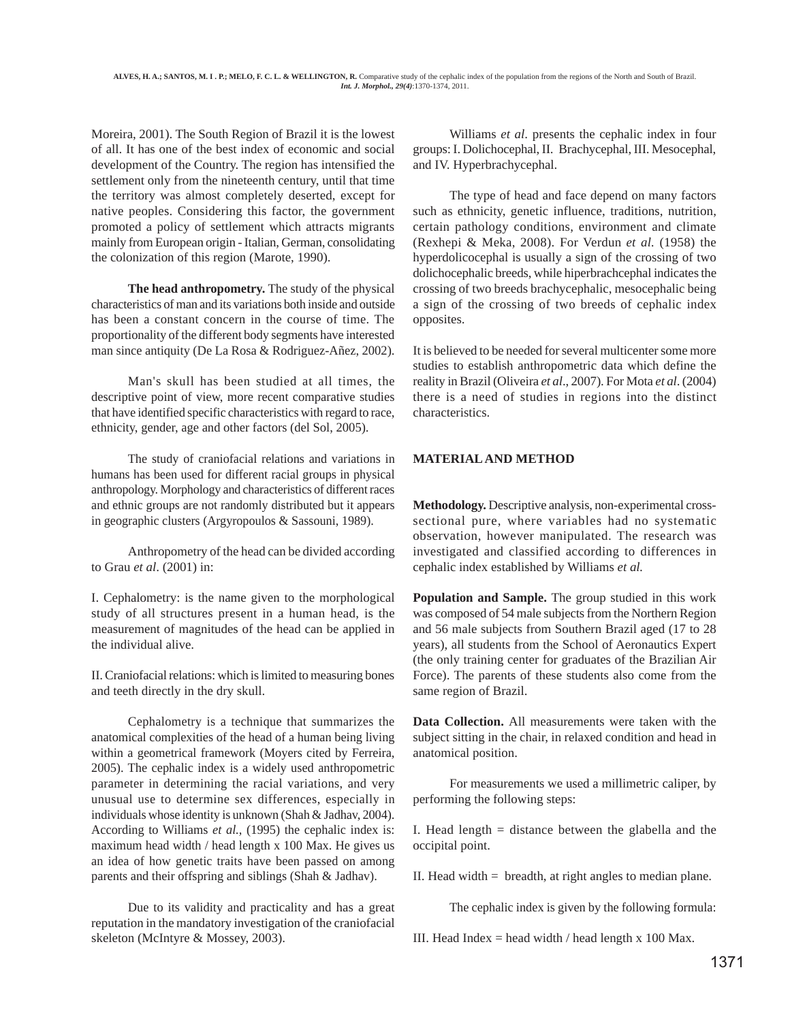Moreira, 2001). The South Region of Brazil it is the lowest of all. It has one of the best index of economic and social development of the Country. The region has intensified the settlement only from the nineteenth century, until that time the territory was almost completely deserted, except for native peoples. Considering this factor, the government promoted a policy of settlement which attracts migrants mainly from European origin - Italian, German, consolidating the colonization of this region (Marote, 1990).

**The head anthropometry.** The study of the physical characteristics of man and its variations both inside and outside has been a constant concern in the course of time. The proportionality of the different body segments have interested man since antiquity (De La Rosa & Rodriguez-Añez, 2002).

Man's skull has been studied at all times, the descriptive point of view, more recent comparative studies that have identified specific characteristics with regard to race, ethnicity, gender, age and other factors (del Sol, 2005).

The study of craniofacial relations and variations in humans has been used for different racial groups in physical anthropology. Morphology and characteristics of different races and ethnic groups are not randomly distributed but it appears in geographic clusters (Argyropoulos & Sassouni, 1989).

Anthropometry of the head can be divided according to Grau *et al*. (2001) in:

I. Cephalometry: is the name given to the morphological study of all structures present in a human head, is the measurement of magnitudes of the head can be applied in the individual alive.

II. Craniofacial relations: which is limited to measuring bones and teeth directly in the dry skull.

Cephalometry is a technique that summarizes the anatomical complexities of the head of a human being living within a geometrical framework (Moyers cited by Ferreira, 2005). The cephalic index is a widely used anthropometric parameter in determining the racial variations, and very unusual use to determine sex differences, especially in individuals whose identity is unknown (Shah & Jadhav, 2004). According to Williams *et al.,* (1995) the cephalic index is: maximum head width / head length x 100 Max. He gives us an idea of how genetic traits have been passed on among parents and their offspring and siblings (Shah & Jadhav).

Due to its validity and practicality and has a great reputation in the mandatory investigation of the craniofacial skeleton (McIntyre & Mossey, 2003).

Williams *et al*. presents the cephalic index in four groups: I. Dolichocephal, II. Brachycephal, III. Mesocephal, and IV. Hyperbrachycephal.

The type of head and face depend on many factors such as ethnicity, genetic influence, traditions, nutrition, certain pathology conditions, environment and climate (Rexhepi & Meka, 2008). For Verdun *et al.* (1958) the hyperdolicocephal is usually a sign of the crossing of two dolichocephalic breeds, while hiperbrachcephal indicates the crossing of two breeds brachycephalic, mesocephalic being a sign of the crossing of two breeds of cephalic index opposites.

It is believed to be needed for several multicenter some more studies to establish anthropometric data which define the reality in Brazil (Oliveira *et al*., 2007). For Mota *et al*. (2004) there is a need of studies in regions into the distinct characteristics.

# **MATERIAL AND METHOD**

**Methodology.** Descriptive analysis, non-experimental crosssectional pure, where variables had no systematic observation, however manipulated. The research was investigated and classified according to differences in cephalic index established by Williams *et al.*

**Population and Sample.** The group studied in this work was composed of 54 male subjects from the Northern Region and 56 male subjects from Southern Brazil aged (17 to 28 years), all students from the School of Aeronautics Expert (the only training center for graduates of the Brazilian Air Force). The parents of these students also come from the same region of Brazil.

**Data Collection.** All measurements were taken with the subject sitting in the chair, in relaxed condition and head in anatomical position.

For measurements we used a millimetric caliper, by performing the following steps:

I. Head length = distance between the glabella and the occipital point.

II. Head width = breadth, at right angles to median plane.

The cephalic index is given by the following formula:

III. Head Index = head width  $/$  head length x 100 Max.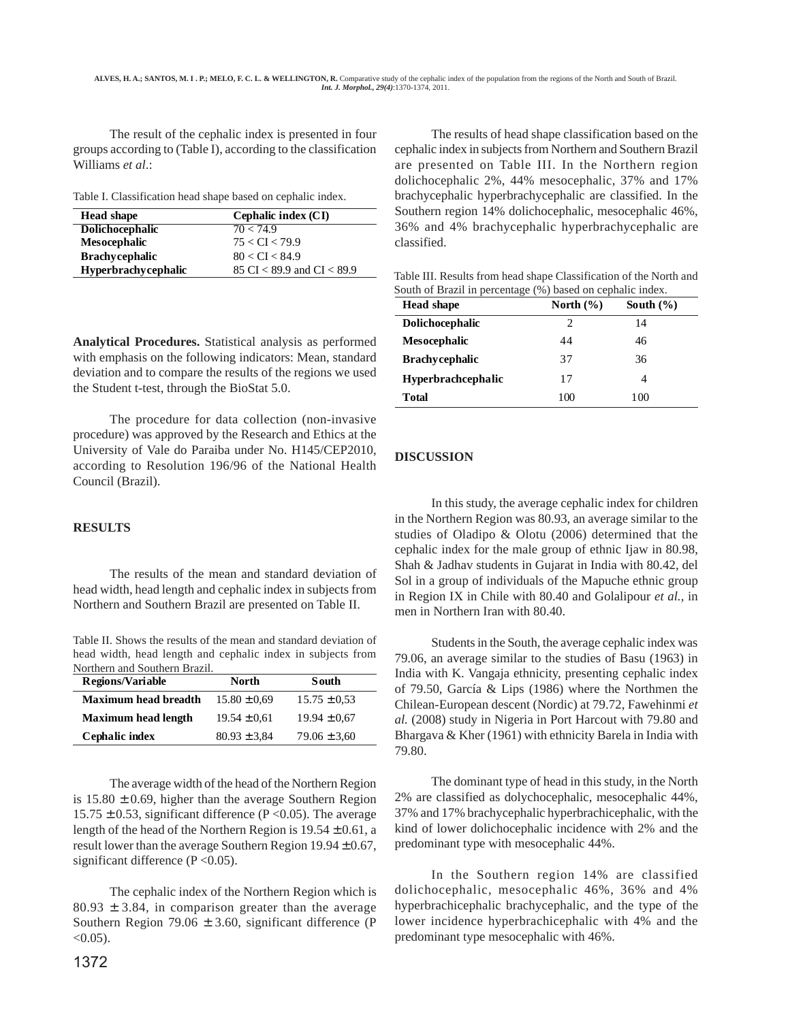The result of the cephalic index is presented in four groups according to (Table I), according to the classification Williams *et al*.:

Table I. Classification head shape based on cephalic index.

| <b>Head shape</b>          | Cephalic index (CI)            |  |  |
|----------------------------|--------------------------------|--|--|
| Dolichocephalic            | 70 < 74.9                      |  |  |
| <b>Mesocephalic</b>        | 75 < CI < 79.9                 |  |  |
| <b>Brachycephalic</b>      | 80 < CI < 84.9                 |  |  |
| <b>Hyperbrachycephalic</b> | 85 CI $<$ 89.9 and CI $<$ 89.9 |  |  |

**Analytical Procedures.** Statistical analysis as performed with emphasis on the following indicators: Mean, standard deviation and to compare the results of the regions we used the Student t-test, through the BioStat 5.0.

The procedure for data collection (non-invasive procedure) was approved by the Research and Ethics at the University of Vale do Paraiba under No. H145/CEP2010, according to Resolution 196/96 of the National Health Council (Brazil).

## **RESULTS**

The results of the mean and standard deviation of head width, head length and cephalic index in subjects from Northern and Southern Brazil are presented on Table II.

Table II. Shows the results of the mean and standard deviation of head width, head length and cephalic index in subjects from Northern and Southern Brazil.

| <b>Regions/Variable</b>     | North            | South            |
|-----------------------------|------------------|------------------|
| <b>Maximum head breadth</b> | $15.80 \pm 0.69$ | $15.75 \pm 0.53$ |
| <b>Maximum head length</b>  | $19.54 \pm 0.61$ | $19.94 \pm 0.67$ |
| Cephalic index              | $80.93 \pm 3.84$ | $79.06 \pm 3.60$ |

The average width of the head of the Northern Region is  $15.80 \pm 0.69$ , higher than the average Southern Region 15.75  $\pm$  0.53, significant difference (P < 0.05). The average length of the head of the Northern Region is  $19.54 \pm 0.61$ , a result lower than the average Southern Region  $19.94 \pm 0.67$ , significant difference  $(P<0.05)$ .

The cephalic index of the Northern Region which is  $80.93 \pm 3.84$ , in comparison greater than the average Southern Region 79.06  $\pm$  3.60, significant difference (P  $< 0.05$ ).

The results of head shape classification based on the cephalic index in subjects from Northern and Southern Brazil are presented on Table III. In the Northern region dolichocephalic 2%, 44% mesocephalic, 37% and 17% brachycephalic hyperbrachycephalic are classified. In the Southern region 14% dolichocephalic, mesocephalic 46%, 36% and 4% brachycephalic hyperbrachycephalic are classified.

Table III. Results from head shape Classification of the North and South of Brazil in percentage (%) based on cephalic index.

| <b>Head shape</b>         | North $(\% )$ | South $(\% )$ |
|---------------------------|---------------|---------------|
| <b>Dolichocephalic</b>    | 2             | 14            |
| <b>Mesocephalic</b>       | 44            | 46            |
| <b>Brachycephalic</b>     | 37            | 36            |
| <b>Hyperbrachcephalic</b> | 17            |               |
| Total                     | 100           | 100           |

# **DISCUSSION**

In this study, the average cephalic index for children in the Northern Region was 80.93, an average similar to the studies of Oladipo & Olotu (2006) determined that the cephalic index for the male group of ethnic Ijaw in 80.98, Shah & Jadhav students in Gujarat in India with 80.42, del Sol in a group of individuals of the Mapuche ethnic group in Region IX in Chile with 80.40 and Golalipour *et al.,* in men in Northern Iran with 80.40.

Students in the South, the average cephalic index was 79.06, an average similar to the studies of Basu (1963) in India with K. Vangaja ethnicity, presenting cephalic index of 79.50, García & Lips (1986) where the Northmen the Chilean-European descent (Nordic) at 79.72, Fawehinmi *et al.* (2008) study in Nigeria in Port Harcout with 79.80 and Bhargava & Kher (1961) with ethnicity Barela in India with 79.80.

The dominant type of head in this study, in the North 2% are classified as dolychocephalic, mesocephalic 44%, 37% and 17% brachycephalic hyperbrachicephalic, with the kind of lower dolichocephalic incidence with 2% and the predominant type with mesocephalic 44%.

In the Southern region 14% are classified dolichocephalic, mesocephalic 46%, 36% and 4% hyperbrachicephalic brachycephalic, and the type of the lower incidence hyperbrachicephalic with 4% and the predominant type mesocephalic with 46%.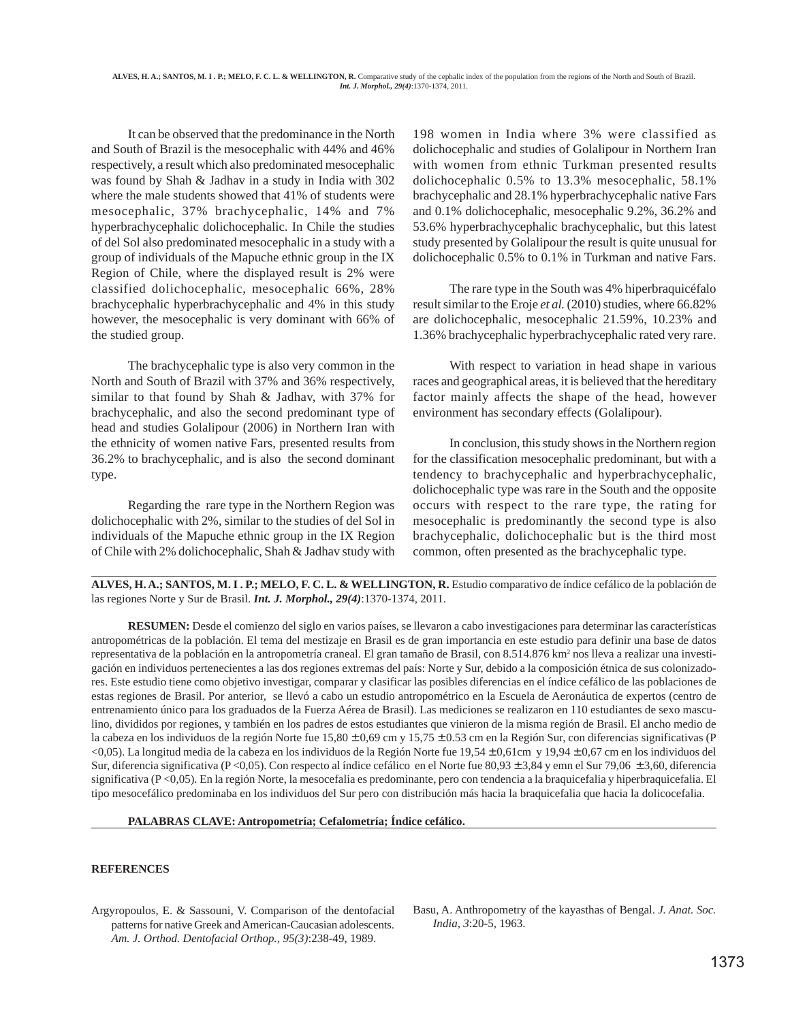It can be observed that the predominance in the North and South of Brazil is the mesocephalic with 44% and 46% respectively, a result which also predominated mesocephalic was found by Shah & Jadhav in a study in India with 302 where the male students showed that 41% of students were mesocephalic, 37% brachycephalic, 14% and 7% hyperbrachycephalic dolichocephalic. In Chile the studies of del Sol also predominated mesocephalic in a study with a group of individuals of the Mapuche ethnic group in the IX Region of Chile, where the displayed result is 2% were classified dolichocephalic, mesocephalic 66%, 28% brachycephalic hyperbrachycephalic and 4% in this study however, the mesocephalic is very dominant with 66% of the studied group.

The brachycephalic type is also very common in the North and South of Brazil with 37% and 36% respectively, similar to that found by Shah & Jadhav, with 37% for brachycephalic, and also the second predominant type of head and studies Golalipour (2006) in Northern Iran with the ethnicity of women native Fars, presented results from 36.2% to brachycephalic, and is also the second dominant type.

Regarding the rare type in the Northern Region was dolichocephalic with 2%, similar to the studies of del Sol in individuals of the Mapuche ethnic group in the IX Region of Chile with 2% dolichocephalic, Shah & Jadhav study with

198 women in India where 3% were classified as dolichocephalic and studies of Golalipour in Northern Iran with women from ethnic Turkman presented results dolichocephalic 0.5% to 13.3% mesocephalic, 58.1% brachycephalic and 28.1% hyperbrachycephalic native Fars and 0.1% dolichocephalic, mesocephalic 9.2%, 36.2% and 53.6% hyperbrachycephalic brachycephalic, but this latest study presented by Golalipour the result is quite unusual for dolichocephalic 0.5% to 0.1% in Turkman and native Fars.

The rare type in the South was 4% hiperbraquicéfalo result similar to the Eroje *et al.* (2010) studies, where 66.82% are dolichocephalic, mesocephalic 21.59%, 10.23% and 1.36% brachycephalic hyperbrachycephalic rated very rare.

With respect to variation in head shape in various races and geographical areas, it is believed that the hereditary factor mainly affects the shape of the head, however environment has secondary effects (Golalipour).

In conclusion, this study shows in the Northern region for the classification mesocephalic predominant, but with a tendency to brachycephalic and hyperbrachycephalic, dolichocephalic type was rare in the South and the opposite occurs with respect to the rare type, the rating for mesocephalic is predominantly the second type is also brachycephalic, dolichocephalic but is the third most common, often presented as the brachycephalic type.

**ALVES, H. A.; SANTOS, M. I . P.; MELO, F. C. L. & WELLINGTON, R.** Estudio comparativo de índice cefálico de la población de las regiones Norte y Sur de Brasil. *Int. J. Morphol., 29(4)*:1370-1374, 2011.

**RESUMEN:** Desde el comienzo del siglo en varios países, se llevaron a cabo investigaciones para determinar las características antropométricas de la población. El tema del mestizaje en Brasil es de gran importancia en este estudio para definir una base de datos representativa de la población en la antropometría craneal. El gran tamaño de Brasil, con 8.514.876 km<sup>2</sup> nos lleva a realizar una investigación en individuos pertenecientes a las dos regiones extremas del país: Norte y Sur, debido a la composición étnica de sus colonizadores. Este estudio tiene como objetivo investigar, comparar y clasificar las posibles diferencias en el índice cefálico de las poblaciones de estas regiones de Brasil. Por anterior, se llevó a cabo un estudio antropométrico en la Escuela de Aeronáutica de expertos (centro de entrenamiento único para los graduados de la Fuerza Aérea de Brasil). Las mediciones se realizaron en 110 estudiantes de sexo masculino, divididos por regiones, y también en los padres de estos estudiantes que vinieron de la misma región de Brasil. El ancho medio de la cabeza en los individuos de la región Norte fue  $15,80 \pm 0,69$  cm y  $15,75 \pm 0.53$  cm en la Región Sur, con diferencias significativas (P  $\langle 0,05 \rangle$ . La longitud media de la cabeza en los individuos de la Región Norte fue 19,54 ± 0,61cm y 19,94 ± 0,67 cm en los individuos del Sur, diferencia significativa (P <0,05). Con respecto al índice cefálico en el Norte fue 80,93 ± 3,84 y emn el Sur 79,06 ± 3,60, diferencia significativa (P <0,05). En la región Norte, la mesocefalia es predominante, pero con tendencia a la braquicefalia y hiperbraquicefalia. El tipo mesocefálico predominaba en los individuos del Sur pero con distribución más hacia la braquicefalia que hacia la dolicocefalia.

**PALABRAS CLAVE: Antropometría; Cefalometría; Índice cefálico.**

### **REFERENCES**

Argyropoulos, E. & Sassouni, V. Comparison of the dentofacial patterns for native Greek and American-Caucasian adolescents. *Am. J. Orthod. Dentofacial Orthop., 95(3)*:238-49, 1989.

Basu, A. Anthropometry of the kayasthas of Bengal. *J. Anat. Soc. India, 3*:20-5, 1963.